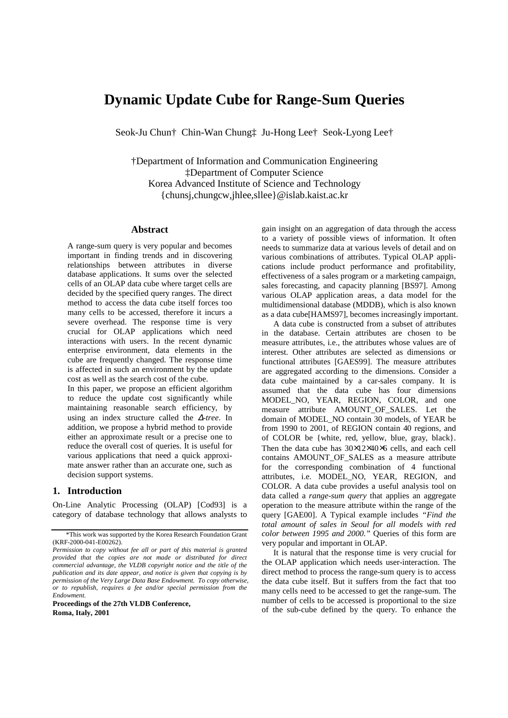# **Dynamic Update Cube for Range-Sum Queries**

Seok-Ju Chun† Chin-Wan Chung‡ Ju-Hong Lee† Seok-Lyong Lee†

†Department of Information and Communication Engineering ‡Department of Computer Science Korea Advanced Institute of Science and Technology {chunsj,chungcw,jhlee,sllee}@islab.kaist.ac.kr

### **Abstract**

A range-sum query is very popular and becomes important in finding trends and in discovering relationships between attributes in diverse database applications. It sums over the selected cells of an OLAP data cube where target cells are decided by the specified query ranges. The direct method to access the data cube itself forces too many cells to be accessed, therefore it incurs a severe overhead. The response time is very crucial for OLAP applications which need interactions with users. In the recent dynamic enterprise environment, data elements in the cube are frequently changed. The response time is affected in such an environment by the update cost as well as the search cost of the cube.

In this paper, we propose an efficient algorithm to reduce the update cost significantly while maintaining reasonable search efficiency, by using an index structure called the ∆*-tree*. In addition, we propose a hybrid method to provide either an approximate result or a precise one to reduce the overall cost of queries. It is useful for various applications that need a quick approximate answer rather than an accurate one, such as decision support systems.

### **1. Introduction**

On-Line Analytic Processing (OLAP) [Cod93] is a category of database technology that allows analysts to

**Proceedings of the 27th VLDB Conference, Roma, Italy, 2001** 

gain insight on an aggregation of data through the access to a variety of possible views of information. It often needs to summarize data at various levels of detail and on various combinations of attributes. Typical OLAP applications include product performance and profitability, effectiveness of a sales program or a marketing campaign, sales forecasting, and capacity planning [BS97]. Among various OLAP application areas, a data model for the multidimensional database (MDDB), which is also known as a data cube[HAMS97], becomes increasingly important.

A data cube is constructed from a subset of attributes in the database. Certain attributes are chosen to be measure attributes, i.e., the attributes whose values are of interest. Other attributes are selected as dimensions or functional attributes [GAES99]. The measure attributes are aggregated according to the dimensions. Consider a data cube maintained by a car-sales company. It is assumed that the data cube has four dimensions MODEL\_NO, YEAR, REGION, COLOR, and one measure attribute AMOUNT\_OF\_SALES. Let the domain of MODEL\_NO contain 30 models, of YEAR be from 1990 to 2001, of REGION contain 40 regions, and of COLOR be {white, red, yellow, blue, gray, black}. Then the data cube has 30×12×40×6 cells, and each cell contains AMOUNT\_OF\_SALES as a measure attribute for the corresponding combination of 4 functional attributes, i.e. MODEL\_NO, YEAR, REGION, and COLOR. A data cube provides a useful analysis tool on data called a *range-sum query* that applies an aggregate operation to the measure attribute within the range of the query [GAE00]. A Typical example includes *"Find the total amount of sales in Seoul for all models with red color between 1995 and 2000."* Queries of this form are very popular and important in OLAP.

It is natural that the response time is very crucial for the OLAP application which needs user-interaction. The direct method to process the range-sum query is to access the data cube itself. But it suffers from the fact that too many cells need to be accessed to get the range-sum. The number of cells to be accessed is proportional to the size of the sub-cube defined by the query. To enhance the

<sup>\*</sup>This work was supported by the Korea Research Foundation Grant (KRF-2000-041-E00262).

*Permission to copy without fee all or part of this material is granted provided that the copies are not made or distributed for direct commercial advantage, the VLDB copyright notice and the title of the publication and its date appear, and notice is given that copying is by permission of the Very Large Data Base Endowment. To copy otherwise, or to republish, requires a fee and/or special permission from the Endowment.*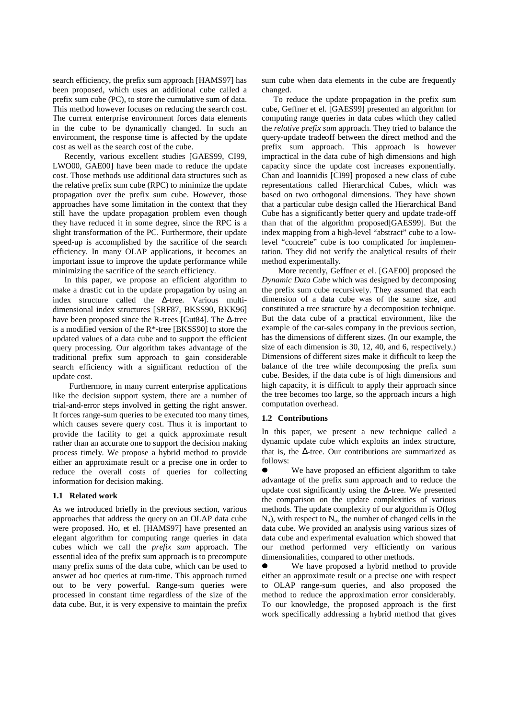search efficiency, the prefix sum approach [HAMS97] has been proposed, which uses an additional cube called a prefix sum cube (PC), to store the cumulative sum of data. This method however focuses on reducing the search cost. The current enterprise environment forces data elements in the cube to be dynamically changed. In such an environment, the response time is affected by the update cost as well as the search cost of the cube.

Recently, various excellent studies [GAES99, CI99, LWO00, GAE00] have been made to reduce the update cost. Those methods use additional data structures such as the relative prefix sum cube (RPC) to minimize the update propagation over the prefix sum cube. However, those approaches have some limitation in the context that they still have the update propagation problem even though they have reduced it in some degree, since the RPC is a slight transformation of the PC. Furthermore, their update speed-up is accomplished by the sacrifice of the search efficiency. In many OLAP applications, it becomes an important issue to improve the update performance while minimizing the sacrifice of the search efficiency.

In this paper, we propose an efficient algorithm to make a drastic cut in the update propagation by using an index structure called the ∆-tree. Various multidimensional index structures [SRF87, BKSS90, BKK96] have been proposed since the R-trees [Gut84]. The ∆-tree is a modified version of the R\*-tree [BKSS90] to store the updated values of a data cube and to support the efficient query processing. Our algorithm takes advantage of the traditional prefix sum approach to gain considerable search efficiency with a significant reduction of the update cost.

Furthermore, in many current enterprise applications like the decision support system, there are a number of trial-and-error steps involved in getting the right answer. It forces range-sum queries to be executed too many times, which causes severe query cost. Thus it is important to provide the facility to get a quick approximate result rather than an accurate one to support the decision making process timely. We propose a hybrid method to provide either an approximate result or a precise one in order to reduce the overall costs of queries for collecting information for decision making.

### **1.1 Related work**

As we introduced briefly in the previous section, various approaches that address the query on an OLAP data cube were proposed. Ho, et el. [HAMS97] have presented an elegant algorithm for computing range queries in data cubes which we call the *prefix sum* approach. The essential idea of the prefix sum approach is to precompute many prefix sums of the data cube, which can be used to answer ad hoc queries at rum-time. This approach turned out to be very powerful. Range-sum queries were processed in constant time regardless of the size of the data cube. But, it is very expensive to maintain the prefix

sum cube when data elements in the cube are frequently changed.

To reduce the update propagation in the prefix sum cube, Geffner et el. [GAES99] presented an algorithm for computing range queries in data cubes which they called the *relative prefix sum* approach. They tried to balance the query-update tradeoff between the direct method and the prefix sum approach. This approach is however impractical in the data cube of high dimensions and high capacity since the update cost increases exponentially. Chan and Ioannidis [CI99] proposed a new class of cube representations called Hierarchical Cubes, which was based on two orthogonal dimensions. They have shown that a particular cube design called the Hierarchical Band Cube has a significantly better query and update trade-off than that of the algorithm proposed[GAES99]. But the index mapping from a high-level "abstract" cube to a lowlevel "concrete" cube is too complicated for implementation. They did not verify the analytical results of their method experimentally.

More recently, Geffner et el. [GAE00] proposed the *Dynamic Data Cube* which was designed by decomposing the prefix sum cube recursively. They assumed that each dimension of a data cube was of the same size, and constituted a tree structure by a decomposition technique. But the data cube of a practical environment, like the example of the car-sales company in the previous section, has the dimensions of different sizes. (In our example, the size of each dimension is 30, 12, 40, and 6, respectively.) Dimensions of different sizes make it difficult to keep the balance of the tree while decomposing the prefix sum cube. Besides, if the data cube is of high dimensions and high capacity, it is difficult to apply their approach since the tree becomes too large, so the approach incurs a high computation overhead.

#### **1.2 Contributions**

In this paper, we present a new technique called a dynamic update cube which exploits an index structure, that is, the ∆-tree. Our contributions are summarized as follows:

 $\bullet$  We have proposed an efficient algorithm to take advantage of the prefix sum approach and to reduce the update cost significantly using the ∆-tree. We presented the comparison on the update complexities of various methods. The update complexity of our algorithm is O(log  $N_{\rm u}$ ), with respect to  $N_{\rm u}$ , the number of changed cells in the data cube. We provided an analysis using various sizes of data cube and experimental evaluation which showed that our method performed very efficiently on various dimensionalities, compared to other methods.

 $\bullet$  We have proposed a hybrid method to provide either an approximate result or a precise one with respect to OLAP range-sum queries, and also proposed the method to reduce the approximation error considerably. To our knowledge, the proposed approach is the first work specifically addressing a hybrid method that gives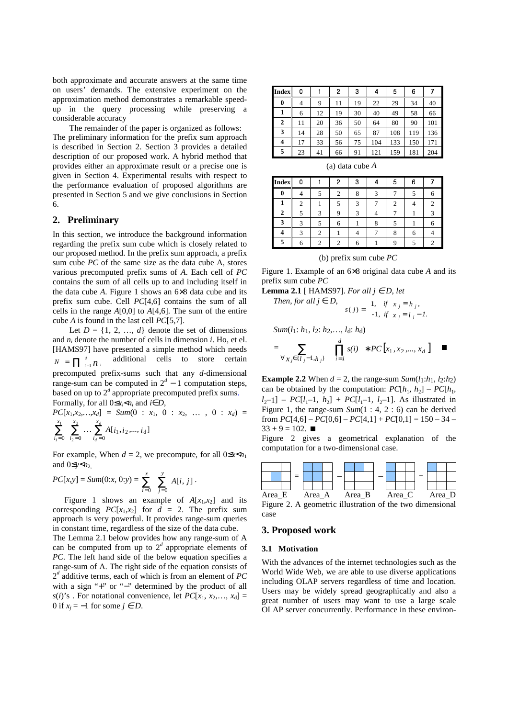both approximate and accurate answers at the same time on users' demands. The extensive experiment on the approximation method demonstrates a remarkable speedup in the query processing while preserving a considerable accuracy

The remainder of the paper is organized as follows: The preliminary information for the prefix sum approach is described in Section 2. Section 3 provides a detailed description of our proposed work. A hybrid method that provides either an approximate result or a precise one is given in Section 4. Experimental results with respect to the performance evaluation of proposed algorithms are presented in Section 5 and we give conclusions in Section 6.

### **2. Preliminary**

In this section, we introduce the background information regarding the prefix sum cube which is closely related to our proposed method. In the prefix sum approach, a prefix sum cube *PC* of the same size as the data cube A, stores various precomputed prefix sums of *A*. Each cell of *PC* contains the sum of all cells up to and including itself in the data cube *A*. Figure 1 shows an 6×8 data cube and its prefix sum cube. Cell *PC*[4,6] contains the sum of all cells in the range *A*[0,0] to *A*[4,6]. The sum of the entire cube *A* is found in the last cell *PC*[5,7].

Let  $D = \{1, 2, ..., d\}$  denote the set of dimensions and *ni* denote the number of cells in dimension *i*. Ho, et el. [HAMS97] have presented a simple method which needs  $N = \prod_{i=1}^{d} n_i$  additional cells to store certain precomputed prefix-sums such that any *d*-dimensional range-sum can be computed in  $2^d - 1$  computation steps, based on up to  $2^d$  appropriate precomputed prefix sums. Formally, for all  $0 \le x \le n_i$  and *i*∈*D*,

 $PC[x_1, x_2, ..., x_d] = Sum(0 : x_1, 0 : x_2, ..., 0 : x_d) =$  $\sum_{i_2=0}^{1} \ldots \sum_{i_d=0}^{1} A[i_1, i_2, ..., i_d]$ 1 1 2  $\sum_{i=1}^{x_1} \sum_{i=1}^{x_2} \ldots \sum_{i=1}^{x_d} A[i_1, i_2, ..., i]$ *i x i x i d*  $\sum_{i_1=0}$   $\sum_{i_2=0}$   $\ldots$   $\sum_{i_d=0}$ 

For example, When  $d = 2$ , we precompute, for all  $0 \le x \le n_1$ and  $0 \leq y \leq n$ 

$$
PC[x,y] = Sum(0:x, 0:y) = \sum_{i=0}^{x} \sum_{j=0}^{y} A[i, j].
$$

Figure 1 shows an example of  $A[x_1,x_2]$  and its corresponding  $PC[x_1,x_2]$  for  $d = 2$ . The prefix sum approach is very powerful. It provides range-sum queries in constant time, regardless of the size of the data cube.

The Lemma 2.1 below provides how any range-sum of A can be computed from up to  $2<sup>d</sup>$  appropriate elements of *PC*. The left hand side of the below equation specifies a range-sum of A. The right side of the equation consists of 2*d* additive terms, each of which is from an element of *PC* with a sign "+" or "−" determined by the product of all  $s(i)$ 's. For notational convenience, let  $PC[x_1, x_2,..., x_d] =$ 0 if  $x_i = -1$  for some  $j \in D$ .

| <b>Index</b> | 0  |    | 2  | 3  | 4   | 5   | 6   |     |
|--------------|----|----|----|----|-----|-----|-----|-----|
| 0            | 4  | 9  | 11 | 19 | 22  | 29  | 34  | 40  |
|              | 6  | 12 | 19 | 30 | 40  | 49  | 58  | 66  |
| 2            | 11 | 20 | 36 | 50 | 64  | 80  | 90  | 101 |
| 3            | 14 | 28 | 50 | 65 | 87  | 108 | 119 | 136 |
| 4            | 17 | 33 | 56 | 75 | 104 | 133 | 150 | 171 |
| 5            | 23 | 41 | 66 | 91 | 121 | 159 | 181 | 204 |

(a) data cube *A*

| <b>Index</b> |                |                | 2 | 3 |   | 5 | 6 |                |
|--------------|----------------|----------------|---|---|---|---|---|----------------|
| 0            |                | 5              |   | 8 | 2 |   |   | 6              |
|              | $\overline{c}$ |                |   | 3 |   | 2 |   | $\overline{c}$ |
| $\mathbf{2}$ |                | 3              | 9 | 3 |   |   |   | 3              |
| 3            | 3              | 5              | 6 |   | 8 |   |   | 6              |
|              | 3              | $\overline{c}$ |   |   |   | 8 | 6 |                |
| 5            | 6              |                |   |   |   | Q |   |                |

(b) prefix sum cube *PC*

Figure 1. Example of an 6×8 original data cube *A* and its prefix sum cube *PC*

**Lemma 2.1** [ HAMS97]. For all 
$$
j \in D
$$
, let  
Then for all  $i \in D$ 

Then, for all 
$$
j \in D
$$
,  

$$
s(j) = \begin{cases} 1, & \text{if } x_j = h_j, \\ -1, & \text{if } x_j = l_j - 1. \end{cases}
$$

Sum(l<sub>1</sub>: h<sub>1</sub>, l<sub>2</sub>: h<sub>2</sub>,..., l<sub>d</sub>: h<sub>d</sub>)  
= 
$$
\sum_{\forall x_j \in \{l_j-1, h_j\}} \left\{ \left( \prod_{i=1}^d s(i) \right) * PC[x_1, x_2,..., x_d] \right\} \quad \blacksquare
$$

**Example 2.2** When  $d = 2$ , the range-sum *Sum*( $l_1$ :*h*<sub>1</sub>*, l*<sub>2</sub>:*h*<sub>2</sub>) can be obtained by the computation:  $PC[h_1, h_2] - PC[h_1,$  $l_2-1$ ] –  $PC[l_1-1, h_2]$  +  $PC[l_1-1, l_2-1]$ . As illustrated in Figure 1, the range-sum *Sum*(1 : 4, 2 : 6) can be derived from  $PC[4,6] - PC[0,6] - PC[4,1] + PC[0,1] = 150 - 34 33 + 9 = 102$ .

Figure 2 gives a geometrical explanation of the computation for a two-dimensional case.



Figure 2. A geometric illustration of the two dimensional case

# **3. Proposed work**

#### **3.1 Motivation**

With the advances of the internet technologies such as the World Wide Web, we are able to use diverse applications including OLAP servers regardless of time and location. Users may be widely spread geographically and also a great number of users may want to use a large scale OLAP server concurrently. Performance in these environ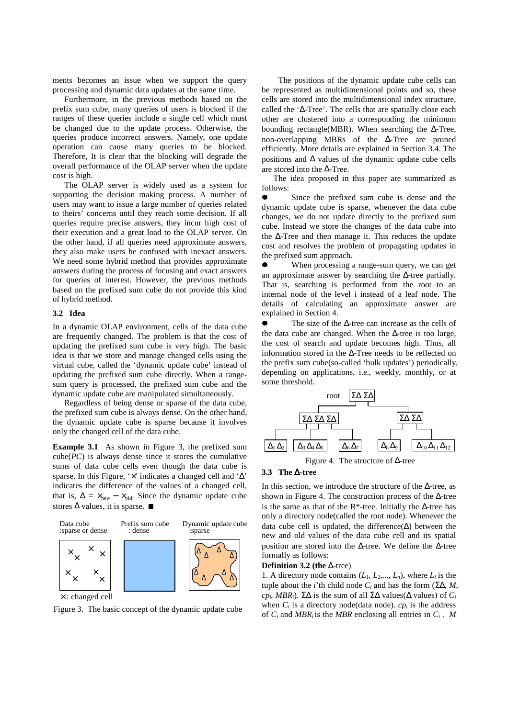ments becomes an issue when we support the query processing and dynamic data updates at the same time.

Furthermore, in the previous methods based on the prefix sum cube, many queries of users is blocked if the ranges of these queries include a single cell which must be changed due to the update process. Otherwise, the queries produce incorrect answers. Namely, one update operation can cause many queries to be blocked. Therefore, It is clear that the blocking will degrade the overall performance of the OLAP server when the update cost is high.

The OLAP server is widely used as a system for supporting the decision making process. A number of users may want to issue a large number of queries related to theirs' concerns until they reach some decision. If all queries require precise answers, they incur high cost of their execution and a great load to the OLAP server. On the other hand, if all queries need approximate answers, they also make users be confused with inexact answers. We need some hybrid method that provides approximate answers during the process of focusing and exact answers for queries of interest. However, the previous methods based on the prefixed sum cube do not provide this kind of hybrid method.

# **3.2 Idea**

In a dynamic OLAP environment, cells of the data cube are frequently changed. The problem is that the cost of updating the prefixed sum cube is very high. The basic idea is that we store and manage changed cells using the virtual cube, called the 'dynamic update cube' instead of updating the prefixed sum cube directly. When a rangesum query is processed, the prefixed sum cube and the dynamic update cube are manipulated simultaneously.

Regardless of being dense or sparse of the data cube, the prefixed sum cube is always dense. On the other hand, the dynamic update cube is sparse because it involves only the changed cell of the data cube.

**Example 3.1** As shown in Figure 3, the prefixed sum  $cube(PC)$  is always dense since it stores the cumulative sums of data cube cells even though the data cube is sparse. In this Figure, ' $\times$ ' indicates a changed cell and ' $\Delta$ ' indicates the difference of the values of a changed cell, that is,  $\Delta = \times_{\text{new}} - \times_{\text{old}}$ . Since the dynamic update cube stores  $\Delta$  values, it is sparse.  $\blacksquare$ 



× : changed cell

Figure 3. The basic concept of the dynamic update cube

The positions of the dynamic update cube cells can be represented as multidimensional points and so, these cells are stored into the multidimensional index structure, called the '∆-Tree'. The cells that are spatially close each other are clustered into a corresponding the minimum bounding rectangle(MBR). When searching the ∆-Tree, non-overlapping MBRs of the ∆-Tree are pruned efficiently. More details are explained in Section 3.4. The positions and  $\Delta$  values of the dynamic update cube cells are stored into the ∆-Tree.

The idea proposed in this paper are summarized as follows:

 $\bullet$  Since the prefixed sum cube is dense and the dynamic update cube is sparse, whenever the data cube changes, we do not update directly to the prefixed sum cube. Instead we store the changes of the data cube into the ∆-Tree and then manage it. This reduces the update cost and resolves the problem of propagating updates in the prefixed sum approach. ● When processing a

 When processing a range-sum query, we can get an approximate answer by searching the ∆-tree partially. That is, searching is performed from the root to an internal node of the level i instead of a leaf node. The details of calculating an approximate answer are explained in Section 4.

 $\bullet$  The size of the ∆-tree can increase as the cells of the data cube are changed. When the ∆-tree is too large, the cost of search and update becomes high. Thus, all information stored in the ∆-Tree needs to be reflected on the prefix sum cube(so-called 'bulk updates') periodically, depending on applications, i.e., weekly, monthly, or at some threshold.



Figure 4. The structure of ∆-tree

### **3.3 The** ∆**-tree**

In this section, we introduce the structure of the  $\Delta$ -tree, as shown in Figure 4. The construction process of the  $\Delta$ -tree is the same as that of the R\*-tree. Initially the  $\Delta$ -tree has only a directory node(called the root node). Whenever the data cube cell is updated, the difference $(\Delta)$  between the new and old values of the data cube cell and its spatial position are stored into the ∆-tree. We define the ∆-tree formally as follows:

**Definition 3.2 (the** ∆-tree)

1. A directory node contains  $(L_1, L_2, ..., L_n)$ , where  $L_i$  is the tuple about the *i*'th child node  $C_i$  and has the form (ΣΔ, *M*, *cp<sub>i</sub>*, *MBR<sub>i</sub>*). Σ $\Delta$  is the sum of all  $\Sigma\Delta$  values( $\Delta$  values) of  $C_i$ when  $C_i$  is a directory node(data node).  $cp_i$  is the address of  $C_i$  and *MBR<sub>i</sub>* is the *MBR* enclosing all entries in  $C_i$ . *M*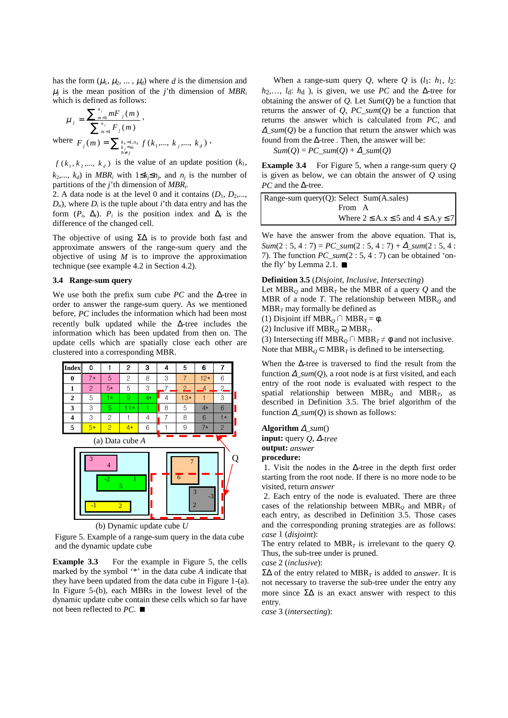has the form  $(\mu_1, \mu_2, ..., \mu_d)$  where *d* is the dimension and  $\mu_i$  is the mean position of the *j*'th dimension of *MBR<sub>i</sub>* which is defined as follows:

$$
\mu_{j} = \frac{\sum_{m=1}^{n_{j}} mF_{j}(m)}{\sum_{m=1}^{n_{j}} F_{j}(m)},
$$
  
where  $F_{j}(m) = \sum_{\substack{k_{j}=1,n_{k} \ f_{j}(m) \\ h \neq j}} f(k_{1},...,k_{j},...,k_{d}),$ 

 $f(k_1, k_2, \dots, k_d)$  is the value of an update position  $(k_1, k_2, \dots, k_d)$  $k_2, \ldots, k_d$ ) in *MBR<sub>i</sub>* with  $1 \leq k_i \leq n_j$ , and  $n_i$  is the number of partitions of the *j*'th dimension of *MBRi*.

2. A data node is at the level 0 and it contains  $(D_1, D_2,...,$  $D_n$ , where  $D_i$  is the tuple about *i*'th data entry and has the form  $(P_i, \Delta_i)$ .  $P_i$  is the position index and  $\Delta_i$  is the difference of the changed cell.

The objective of using Σ∆ is to provide both fast and approximate answers of the range-sum query and the objective of using *M* is to improve the approximation technique (see example 4.2 in Section 4.2).

### **3.4 Range-sum query**

We use both the prefix sum cube *PC* and the ∆-tree in order to answer the range-sum query. As we mentioned before, *PC* includes the information which had been most recently bulk updated while the ∆-tree includes the information which has been updated from then on. The update cells which are spatially close each other are clustered into a corresponding MBR.



Figure 5. Example of a range-sum query in the data cube and the dynamic update cube

**Example 3.3** For the example in Figure 5, the cells marked by the symbol '\*' in the data cube *A* indicate that they have been updated from the data cube in Figure 1-(a). In Figure 5-(b), each MBRs in the lowest level of the dynamic update cube contain these cells which so far have not been reflected to *PC*.

When a range-sum query  $Q$ , where  $Q$  is  $(l_1: h_1, l_2:$ *h*2,…, *l*d: *h*d ), is given, we use *PC* and the ∆-tree for obtaining the answer of *Q*. Let *Sum*(*Q*) be a function that returns the answer of *Q*, *PC\_sum*(*Q*) be a function that returns the answer which is calculated from *PC*, and <sup>∆</sup>*\_sum*(*Q*) be a function that return the answer which was found from the  $\Delta$ -tree . Then, the answer will be:

 $Sum(Q) = PC\_sum(Q) + \Delta\_sum(Q)$ 

**Example 3.4** For Figure 5, when a range-sum query *Q* is given as below, we can obtain the answer of *Q* using *PC* and the ∆-tree.

| Range-sum query $(Q)$ : Select Sum $(A.\text{sales})$ |                                                   |
|-------------------------------------------------------|---------------------------------------------------|
| From A                                                |                                                   |
|                                                       | Where $2 \leq A.x \leq 5$ and $4 \leq A.y \leq 7$ |

We have the answer from the above equation. That is,  $Sum(2:5, 4:7) = PC\_sum(2:5, 4:7) + \Delta\_sum(2:5, 4:7)$ 7). The function *PC\_sum*(2 : 5, 4 : 7) can be obtained 'onthe fly' by Lemma 2.1.  $\blacksquare$ 

#### **Definition 3.5** (*Disjoint, Inclusive, Intersecting*)

Let  $MBR_0$  and  $MBR_T$  be the MBR of a query Q and the MBR of a node *T*. The relationship between  $MBR<sub>O</sub>$  and  $MBR<sub>T</sub>$  may formally be defined as

(1) Disjoint iff  $MBR$ <sup> $O$ </sup>  $MBR$ <sup> $T = \phi$ </sup>.

(2) Inclusive iff MBR<sub>Q</sub>  $\supseteq$  MBR<sub>T</sub>.

(3) Intersecting iff  $MBR_Q \cap MBR_T \neq \emptyset$  and not inclusive. Note that  $MBR_0 \subset MBR_T$  is defined to be intersecting.

When the ∆-tree is traversed to find the result from the function  $\Delta$  sum(O), a root node is at first visited, and each entry of the root node is evaluated with respect to the spatial relationship between MBR*Q* and MBR*T*, as described in Definition 3.5. The brief algorithm of the function ∆*\_sum*(*Q*) is shown as follows:

**Algorithm** <sup>∆</sup>*\_sum*() **input:** query *Q*, ∆*-tree* **output:** *answer* **procedure:** 

 1. Visit the nodes in the ∆-tree in the depth first order starting from the root node. If there is no more node to be visited, return *answer*

 2. Each entry of the node is evaluated. There are three cases of the relationship between  $MBR<sub>O</sub>$  and  $MBR<sub>T</sub>$  of each entry, as described in Definition 3.5. Those cases and the corresponding pruning strategies are as follows: *case* 1 (*disjoint*):

The entry related to  $MBR<sub>T</sub>$  is irrelevant to the query *Q*. Thus, the sub-tree under is pruned.

*case* 2 (*inclusive*):

Σ∆ of the entry related to MBR*T* is added to *answer*. It is not necessary to traverse the sub-tree under the entry any more since  $\Sigma\Delta$  is an exact answer with respect to this entry.

*case* 3 (*intersecting*):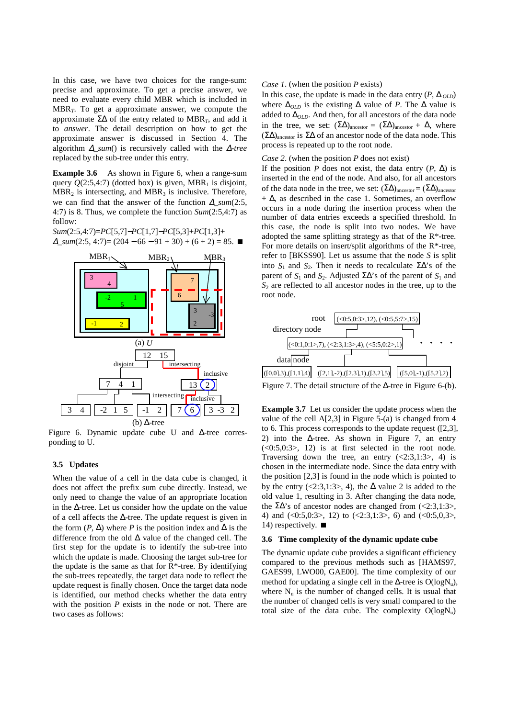In this case, we have two choices for the range-sum: precise and approximate. To get a precise answer, we need to evaluate every child MBR which is included in MBR*T*. To get a approximate answer, we compute the approximate  $\Sigma\Delta$  of the entry related to MBR<sub>T</sub>, and add it to *answer*. The detail description on how to get the approximate answer is discussed in Section 4. The algorithm ∆*\_sum*() is recursively called with the ∆*-tree* replaced by the sub-tree under this entry.

**Example 3.6** As shown in Figure 6, when a range-sum query  $Q(2:5,4:7)$  (dotted box) is given, MBR<sub>1</sub> is disjoint,  $MBR<sub>2</sub>$  is intersecting, and  $MBR<sub>3</sub>$  is inclusive. Therefore, we can find that the answer of the function ∆*\_sum*(2:5, 4:7) is 8. Thus, we complete the function *Sum*(2:5,4:7) as follow:

*Sum*(2:5,4:7)=*PC*[5,7]−*PC*[1,7]−*PC*[5,3]+*PC*[1,3]+  $\Delta$  sum(2:5, 4:7)= (204 – 66 – 91 + 30) + (6 + 2) = 85. ■



Figure 6. Dynamic update cube U and ∆-tree corresponding to U.

# **3.5 Updates**

When the value of a cell in the data cube is changed, it does not affect the prefix sum cube directly. Instead, we only need to change the value of an appropriate location in the ∆-tree. Let us consider how the update on the value of a cell affects the ∆-tree. The update request is given in the form  $(P, \Delta)$  where *P* is the position index and  $\Delta$  is the difference from the old ∆ value of the changed cell. The first step for the update is to identify the sub-tree into which the update is made. Choosing the target sub-tree for the update is the same as that for  $R^*$ -tree. By identifying the sub-trees repeatedly, the target data node to reflect the update request is finally chosen. Once the target data node is identified, our method checks whether the data entry with the position *P* exists in the node or not. There are two cases as follows:

#### *Case 1*. (when the position *P* exists)

In this case, the update is made in the data entry  $(P, \Delta_{OLD})$ where  $\Delta_{OLD}$  is the existing  $\Delta$  value of *P*. The  $\Delta$  value is added to ∆*OLD*. And then, for all ancestors of the data node in the tree, we set:  $(\Sigma \Delta)_{\text{ancestor}} = (\Sigma \Delta)_{\text{ancestor}} + \Delta$ , where  $(\Sigma \Delta)$ <sub>ancestor</sub> is  $\Sigma \Delta$  of an ancestor node of the data node. This process is repeated up to the root node.

#### *Case 2*. (when the position *P* does not exist)

If the position *P* does not exist, the data entry  $(P, \Delta)$  is inserted in the end of the node. And also, for all ancestors of the data node in the tree, we set:  $(\Sigma \Delta)_{\text{ancestor}} = (\Sigma \Delta)_{\text{ancestor}}$  $+ \Delta$ , as described in the case 1. Sometimes, an overflow occurs in a node during the insertion process when the number of data entries exceeds a specified threshold. In this case, the node is split into two nodes. We have adopted the same splitting strategy as that of the R\*-tree. For more details on insert/split algorithms of the R\*-tree, refer to [BKSS90]. Let us assume that the node *S* is split into  $S_1$  and  $S_2$ . Then it needs to recalculate  $\Sigma\Delta$ 's of the parent of  $S_1$  and  $S_2$ . Adjusted  $\Sigma\Delta$ 's of the parent of  $S_1$  and *S*2 are reflected to all ancestor nodes in the tree, up to the root node.



Figure 7. The detail structure of the ∆-tree in Figure 6-(b).

**Example 3.7** Let us consider the update process when the value of the cell A[2,3] in Figure 5-(a) is changed from 4 to 6. This process corresponds to the update request ([2,3], 2) into the  $\Delta$ -tree. As shown in Figure 7, an entry  $(<0.5, 0.3>$ , 12) is at first selected in the root node. Traversing down the tree, an entry  $(\langle 2:3.1:3 \rangle, 4)$  is chosen in the intermediate node. Since the data entry with the position [2,3] is found in the node which is pointed to by the entry (<2:3,1:3>, 4), the  $\Delta$  value 2 is added to the old value 1, resulting in 3. After changing the data node, the ΣΔ's of ancestor nodes are changed from  $\langle$  <2:3,1:3>, 4) and  $(\langle 0:5,0:3 \rangle, 12)$  to  $(\langle 2:3,1:3 \rangle, 6)$  and  $(\langle 0:5,0,3 \rangle, 6)$ 14) respectively.  $\blacksquare$ 

#### **3.6 Time complexity of the dynamic update cube**

The dynamic update cube provides a significant efficiency compared to the previous methods such as [HAMS97, GAES99, LWO00, GAE00]. The time complexity of our method for updating a single cell in the  $\Delta$ -tree is O(logN<sub>u</sub>), where  $N_u$  is the number of changed cells. It is usual that the number of changed cells is very small compared to the total size of the data cube. The complexity  $O(logN_u)$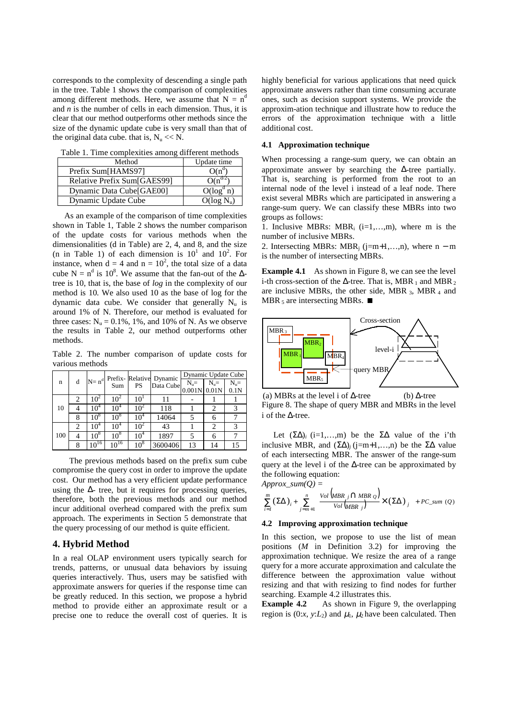corresponds to the complexity of descending a single path in the tree. Table 1 shows the comparison of complexities among different methods. Here, we assume that  $N = n<sup>d</sup>$ and *n* is the number of cells in each dimension. Thus, it is clear that our method outperforms other methods since the size of the dynamic update cube is very small than that of the original data cube. that is,  $N_u \ll N$ .

| Method                      | Update time              |
|-----------------------------|--------------------------|
| Prefix Sum[HAMS97]          | $O(n^d)$                 |
| Relative Prefix Sum[GAES99] | O(n)                     |
| Dynamic Data Cube[GAE00]    | $\overline{O}(\log^d n)$ |
| Dynamic Update Cube         | $O(log N_u)$             |

Table 1. Time complexities among different methods

As an example of the comparison of time complexities shown in Table 1, Table 2 shows the number comparison of the update costs for various methods when the dimensionalities (d in Table) are 2, 4, and 8, and the size (n in Table 1) of each dimension is  $10^1$  and  $10^2$ . For instance, when  $d = 4$  and  $n = 10^2$ , the total size of a data cube N =  $n^d$  is 10<sup>8</sup>. We assume that the fan-out of the  $\Delta$ tree is 10, that is, the base of *log* in the complexity of our method is 10. We also used 10 as the base of log for the dynamic data cube. We consider that generally  $N_{\text{u}}$  is around 1% of N. Therefore, our method is evaluated for three cases:  $N_u = 0.1\%$ , 1%, and 10% of N. As we observe the results in Table 2, our method outperforms other methods.

Table 2. The number comparison of update costs for various methods

|  |     |   | $N = nd$        | Sum             | PS              | Prefix-Relative Dynamic<br>Data Cube | Dynamic Update Cube |        |        |
|--|-----|---|-----------------|-----------------|-----------------|--------------------------------------|---------------------|--------|--------|
|  | n   | d |                 |                 |                 |                                      | $N_u=$              | $N_u=$ | $N_u=$ |
|  |     |   |                 |                 |                 |                                      | $0.001N$ 0.01N      |        | 0.1N   |
|  |     | 2 | 10 <sup>2</sup> | $10^2$          | $10^{\circ}$    | 11                                   |                     |        |        |
|  | 10  |   | $10^4$          | $10^4$          | 10 <sup>2</sup> | 118                                  |                     |        |        |
|  |     | 8 | $10^8$          | 10 <sup>8</sup> | $10^{4}$        | 14064                                |                     | 6      |        |
|  |     | 2 | $10^4$          | $10^4$          | $10^4$          | 43                                   |                     | 2      |        |
|  | 100 |   | $10^8$          | $10^{8}$        | $10^4$          | 1897                                 |                     |        |        |
|  |     | 8 | $10^{16}$       | $10^{16}$       | $10^8$          | 3600406                              | 13                  | 14     | 15     |

The previous methods based on the prefix sum cube compromise the query cost in order to improve the update cost. Our method has a very efficient update performance using the  $\Delta$ - tree, but it requires for processing queries, therefore, both the previous methods and our method incur additional overhead compared with the prefix sum approach. The experiments in Section 5 demonstrate that the query processing of our method is quite efficient.

# **4. Hybrid Method**

In a real OLAP environment users typically search for trends, patterns, or unusual data behaviors by issuing queries interactively. Thus, users may be satisfied with approximate answers for queries if the response time can be greatly reduced. In this section, we propose a hybrid method to provide either an approximate result or a precise one to reduce the overall cost of queries. It is highly beneficial for various applications that need quick approximate answers rather than time consuming accurate ones, such as decision support systems. We provide the approxim-ation technique and illustrate how to reduce the errors of the approximation technique with a little additional cost.

#### **4.1 Approximation technique**

When processing a range-sum query, we can obtain an approximate answer by searching the ∆-tree partially. That is, searching is performed from the root to an internal node of the level i instead of a leaf node. There exist several MBRs which are participated in answering a range-sum query. We can classify these MBRs into two groups as follows:

1. Inclusive MBRs: MBR<sub>i</sub> (i=1,...,m), where m is the number of inclusive MBRs.

2. Intersecting MBRs: MBR<sub>i</sub> (j=m+1,...,n), where  $n - m$ is the number of intersecting MBRs.

**Example 4.1** As shown in Figure 8, we can see the level i-th cross-section of the  $\Delta$ -tree. That is, MBR 1 and MBR 2 are inclusive MBRs, the other side, MBR  $_3$ , MBR  $_4$  and MBR<sub>5</sub> are intersecting MBRs.  $\blacksquare$ 



Figure 8. The shape of query MBR and MBRs in the level i of the ∆-tree. (a) MBRs at the level i of ∆-tree (b) ∆-tree

Let  $(\Sigma \Delta)$ *i* (i=1,…,m) be the  $\Sigma \Delta$  value of the i'th inclusive MBR, and  $(ΣΔ)<sub>j</sub>$  (j=m+1,...,n) be the  $ΣΔ$  value of each intersecting MBR. The answer of the range-sum query at the level i of the  $\Delta$ -tree can be approximated by the following equation:

 $Approx\_sum(Q) =$ 

$$
\sum_{i=1}^{m} \left(\Sigma\Delta\right)_i + \sum_{j=m+1}^{n} \left( \frac{Vol\left(MBR\ j\bigcap MBR\ Q\right)}{Vol\left(MBR\ j\right)} \times \left(\Sigma\Delta\right)_j \right) + PC\_sum\ (Q)
$$

### **4.2 Improving approximation technique**

In this section, we propose to use the list of mean positions (*M* in Definition 3.2) for improving the approximation technique. We resize the area of a range query for a more accurate approximation and calculate the difference between the approximation value without resizing and that with resizing to find nodes for further searching. Example 4.2 illustrates this.

**Example 4.2** As shown in Figure 9, the overlapping region is  $(0:x, y:L_2)$  and  $\mu_1$ ,  $\mu_2$  have been calculated. Then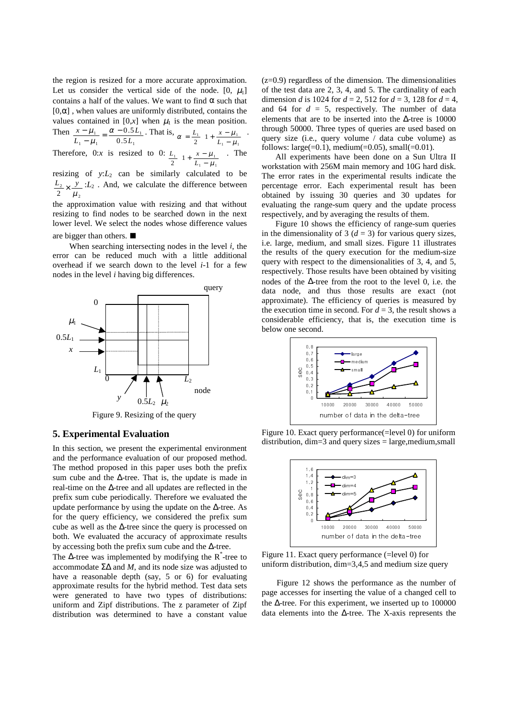the region is resized for a more accurate approximation. Let us consider the vertical side of the node.  $[0, \mu_1]$ contains a half of the values. We want to find  $\alpha$  such that  $[0,\alpha]$ , when values are uniformly distributed, contains the values contained in  $[0, x]$  when  $\mu_1$  is the mean position.  $\mathbf T$ 

Then 
$$
\frac{x - \mu_1}{L_1 - \mu_1} = \frac{\alpha - 0.5L_1}{0.5L_1}
$$
. That is,  $\alpha = \frac{L_1}{2} \left( 1 + \frac{x - \mu_1}{L_1 - \mu_1} \right)$ .  
Therefore, 0:x is resized to 0:  $\frac{L_1}{2} \left( 1 + \frac{x - \mu_1}{L_1 - \mu_1} \right)$ . The

 $\overline{)}$ l *L* resizing of  $y: L_2$  can be similarly calculated to be 2  $\frac{L_2}{2} \times \frac{y}{\mu_2}$ : *L*<sub>2</sub>. And, we calculate the difference between

the approximation value with resizing and that without resizing to find nodes to be searched down in the next lower level. We select the nodes whose difference values

### are bigger than others.

When searching intersecting nodes in the level *i*, the error can be reduced much with a little additional overhead if we search down to the level *i*-1 for a few nodes in the level *i* having big differences.



Figure 9. Resizing of the query

# **5. Experimental Evaluation**

In this section, we present the experimental environment and the performance evaluation of our proposed method. The method proposed in this paper uses both the prefix sum cube and the ∆-tree. That is, the update is made in real-time on the ∆-tree and all updates are reflected in the prefix sum cube periodically. Therefore we evaluated the update performance by using the update on the ∆-tree. As for the query efficiency, we considered the prefix sum cube as well as the ∆-tree since the query is processed on both. We evaluated the accuracy of approximate results by accessing both the prefix sum cube and the ∆-tree.

The  $\Delta$ -tree was implemented by modifying the R<sup>\*</sup>-tree to accommodate Σ∆ and *M*, and its node size was adjusted to have a reasonable depth (say, 5 or 6) for evaluating approximate results for the hybrid method. Test data sets were generated to have two types of distributions: uniform and Zipf distributions. The z parameter of Zipf distribution was determined to have a constant value

 $(z=0.9)$  regardless of the dimension. The dimensionalities of the test data are 2, 3, 4, and 5. The cardinality of each dimension *d* is 1024 for *d* = 2, 512 for *d* = 3, 128 for *d* = 4, and 64 for  $d = 5$ , respectively. The number of data elements that are to be inserted into the ∆-tree is 10000 through 50000. Three types of queries are used based on query size (i.e., query volume / data cube volume) as follows: large(=0.1), medium(=0.05), small(=0.01).

All experiments have been done on a Sun Ultra II workstation with 256M main memory and 10G hard disk. The error rates in the experimental results indicate the percentage error. Each experimental result has been obtained by issuing 30 queries and 30 updates for evaluating the range-sum query and the update process respectively, and by averaging the results of them.

Figure 10 shows the efficiency of range-sum queries in the dimensionality of 3  $(d = 3)$  for various query sizes, i.e. large, medium, and small sizes. Figure 11 illustrates the results of the query execution for the medium-size query with respect to the dimensionalities of 3, 4, and 5, respectively. Those results have been obtained by visiting nodes of the ∆-tree from the root to the level 0, i.e. the data node, and thus those results are exact (not approximate). The efficiency of queries is measured by the execution time in second. For  $d = 3$ , the result shows a considerable efficiency, that is, the execution time is below one second.



Figure 10. Exact query performance(=level 0) for uniform distribution, dim=3 and query sizes = large,medium,small



Figure 11. Exact query performance (=level 0) for uniform distribution, dim=3,4,5 and medium size query

Figure 12 shows the performance as the number of page accesses for inserting the value of a changed cell to the ∆-tree. For this experiment, we inserted up to 100000 data elements into the ∆-tree. The X-axis represents the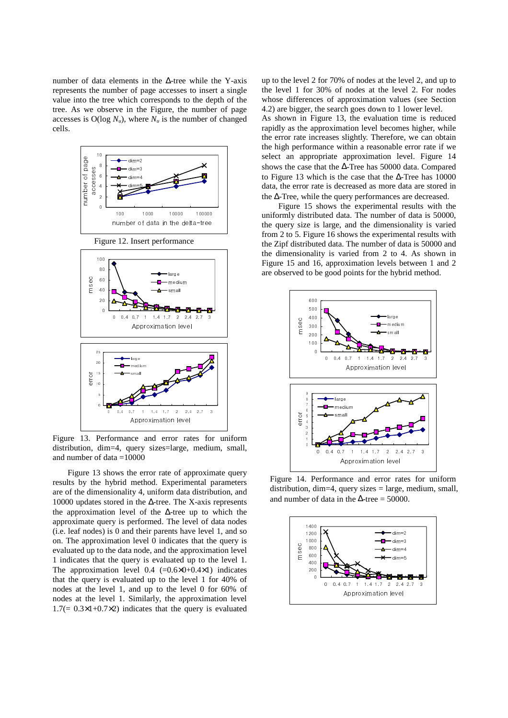number of data elements in the ∆-tree while the Y-axis represents the number of page accesses to insert a single value into the tree which corresponds to the depth of the tree. As we observe in the Figure, the number of page accesses is  $O(\log N_u)$ , where  $N_u$  is the number of changed cells.



Figure 13. Performance and error rates for uniform distribution, dim=4, query sizes=large, medium, small, and number of data  $=10000$ 

Figure 13 shows the error rate of approximate query results by the hybrid method. Experimental parameters are of the dimensionality 4, uniform data distribution, and 10000 updates stored in the ∆-tree. The X-axis represents the approximation level of the ∆-tree up to which the approximate query is performed. The level of data nodes (i.e. leaf nodes) is 0 and their parents have level 1, and so on. The approximation level 0 indicates that the query is evaluated up to the data node, and the approximation level 1 indicates that the query is evaluated up to the level 1. The approximation level  $0.4$  (= $0.6\times0+0.4\times1$ ) indicates that the query is evaluated up to the level 1 for 40% of nodes at the level 1, and up to the level 0 for 60% of nodes at the level 1. Similarly, the approximation level  $1.7(= 0.3 \times 1 + 0.7 \times 2)$  indicates that the query is evaluated up to the level 2 for 70% of nodes at the level 2, and up to the level 1 for 30% of nodes at the level 2. For nodes whose differences of approximation values (see Section 4.2) are bigger, the search goes down to 1 lower level.

As shown in Figure 13, the evaluation time is reduced rapidly as the approximation level becomes higher, while the error rate increases slightly. Therefore, we can obtain the high performance within a reasonable error rate if we select an appropriate approximation level. Figure 14 shows the case that the ∆-Tree has 50000 data. Compared to Figure 13 which is the case that the ∆-Tree has 10000 data, the error rate is decreased as more data are stored in the ∆-Tree, while the query performances are decreased.

Figure 15 shows the experimental results with the uniformly distributed data. The number of data is 50000, the query size is large, and the dimensionality is varied from 2 to 5. Figure 16 shows the experimental results with the Zipf distributed data. The number of data is 50000 and the dimensionality is varied from 2 to 4. As shown in Figure 15 and 16, approximation levels between 1 and 2 are observed to be good points for the hybrid method.



Figure 14. Performance and error rates for uniform distribution, dim=4, query sizes = large, medium, small, and number of data in the  $\Delta$ -tree = 50000.